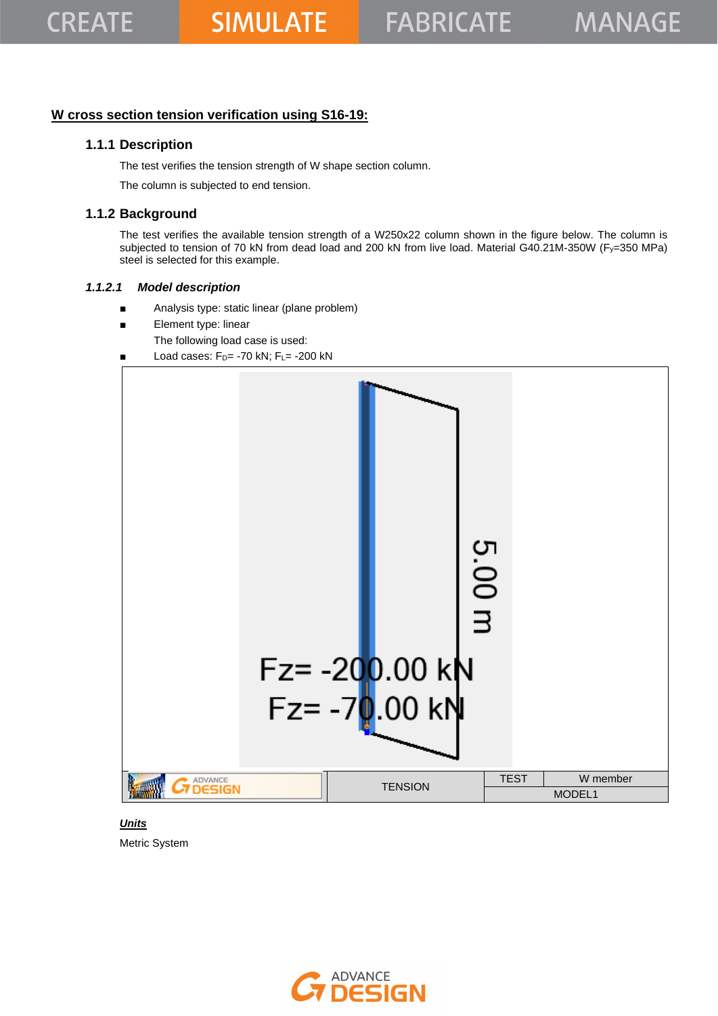## **W cross section tension verification using S16-19:**

## **1.1.1 Description**

The test verifies the tension strength of W shape section column.

The column is subjected to end tension.

# **1.1.2 Background**

The test verifies the available tension strength of a W250x22 column shown in the figure below. The column is subjected to tension of 70 kN from dead load and 200 kN from live load. Material G40.21M-350W (Fy=350 MPa) steel is selected for this example.

#### *1.1.2.1 Model description*

- Analysis type: static linear (plane problem)
- Element type: linear
	- The following load case is used:
- Load cases:  $F_D$  = -70 kN;  $F_L$  = -200 kN



# *Units*

Metric System

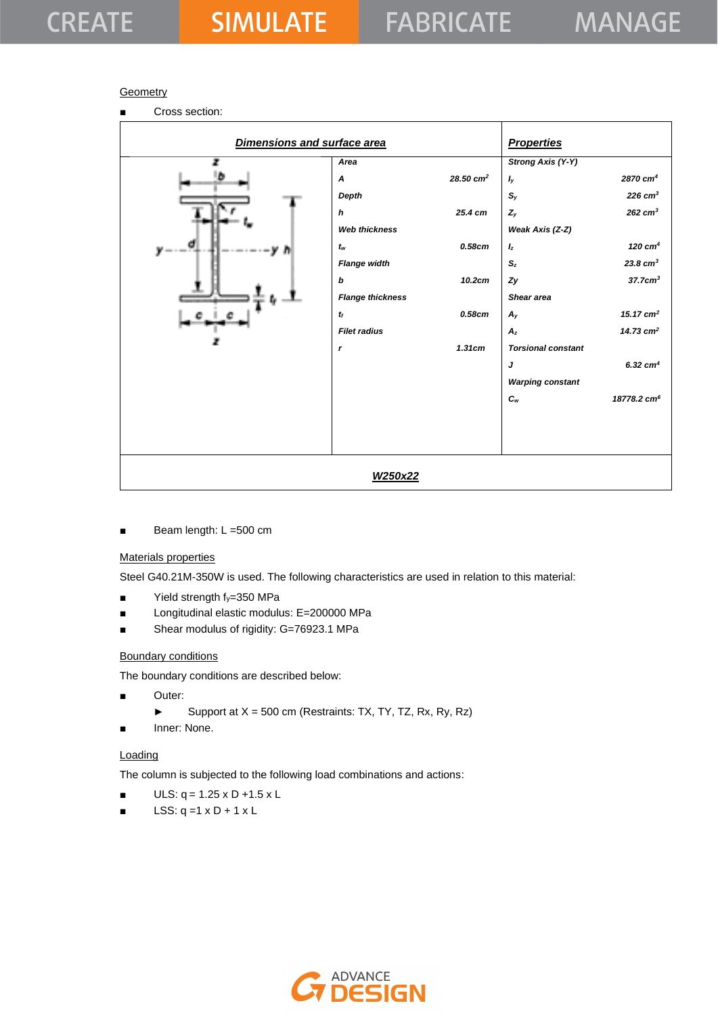## **Geometry**

■ Cross section:

| Dimensions and surface area |                                      |                      | <b>Properties</b>           |                         |
|-----------------------------|--------------------------------------|----------------------|-----------------------------|-------------------------|
| z                           | Area                                 |                      | <b>Strong Axis (Y-Y)</b>    |                         |
| b.                          | $\boldsymbol{A}$                     | $28.50 \text{ cm}^2$ | $I_y$                       | 2870 cm <sup>4</sup>    |
|                             | Depth                                |                      | $\mathbb{S}_y$              | $226$ cm <sup>3</sup>   |
|                             | h                                    | 25.4 cm              | $Z_y$                       | $262$ cm <sup>3</sup>   |
|                             | <b>Web thickness</b>                 |                      | Weak Axis (Z-Z)             |                         |
| ø                           | $t_{\scriptscriptstyle{\mathsf{W}}}$ | 0.58cm               | $I_z$                       | 120 $cm4$               |
|                             | <b>Flange width</b>                  |                      | $S_z$                       | $23.8 \text{ cm}^3$     |
|                             | b                                    | 10.2cm               | Zy                          | $37.7$ c $m3$           |
|                             | <b>Flange thickness</b>              |                      | Shear area                  |                         |
|                             | $t_{\rm f}$                          | 0.58cm               | $A_{V}$                     | 15.17 $cm2$             |
|                             | <b>Filet radius</b>                  |                      | $A_z$                       | 14.73 $cm2$             |
|                             | $\mathbf{r}$                         | 1.31cm               | <b>Torsional constant</b>   |                         |
|                             |                                      |                      | J                           | $6.32$ cm <sup>4</sup>  |
|                             |                                      |                      | <b>Warping constant</b>     |                         |
|                             |                                      |                      | $\boldsymbol{C}_{\text{w}}$ | 18778.2 cm <sup>6</sup> |
|                             |                                      |                      |                             |                         |
|                             |                                      |                      |                             |                         |
|                             |                                      |                      |                             |                         |
|                             | W250x22                              |                      |                             |                         |

■ Beam length: L = 500 cm

## Materials properties

Steel G40.21M-350W is used. The following characteristics are used in relation to this material:

- $\blacksquare$  Yield strength  $f_y=350$  MPa
- Longitudinal elastic modulus: E=200000 MPa
- Shear modulus of rigidity: G=76923.1 MPa

#### Boundary conditions

The boundary conditions are described below:

- Outer:
	- ► Support at  $X = 500$  cm (Restraints: TX, TY, TZ, Rx, Ry, Rz)
- Inner: None.

#### **Loading**

The column is subjected to the following load combinations and actions:

- $ULS: q = 1.25 \times D + 1.5 \times L$
- $\blacksquare$  LSS: q =1 x D + 1 x L

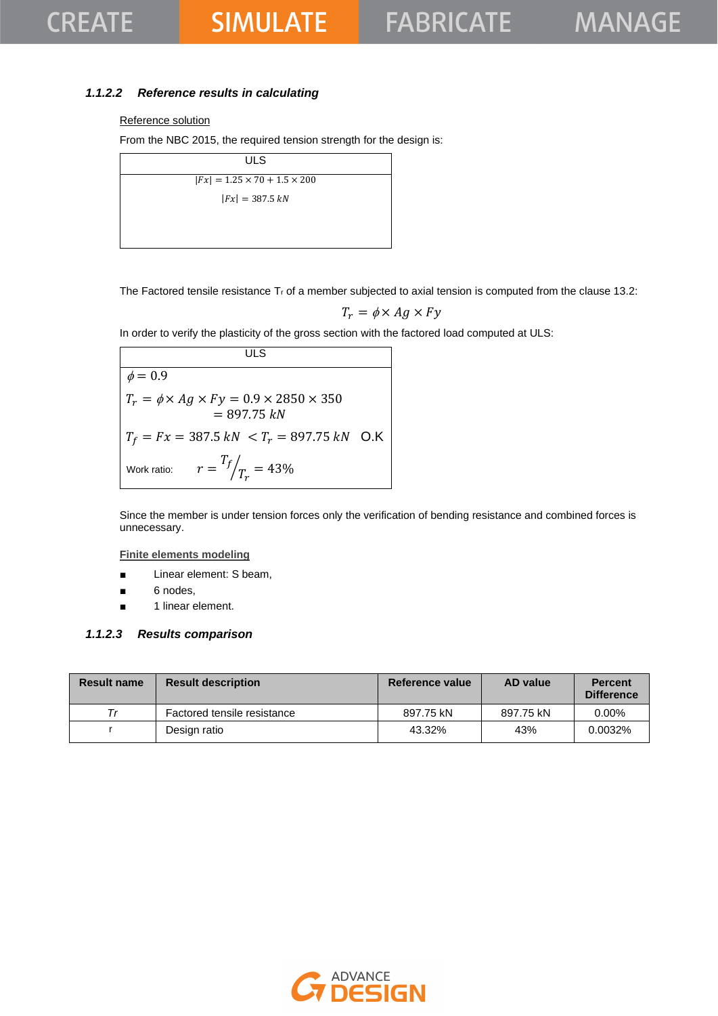## *1.1.2.2 Reference results in calculating*

#### Reference solution

From the NBC 2015, the required tension strength for the design is:

| ULS                                      |  |
|------------------------------------------|--|
| $ Fx  = 1.25 \times 70 + 1.5 \times 200$ |  |
| $ Fx  = 387.5 kN$                        |  |
|                                          |  |
|                                          |  |

The Factored tensile resistance  $T_r$  of a member subjected to axial tension is computed from the clause 13.2:

$$
T_r = \phi \times Ag \times Fy
$$

In order to verify the plasticity of the gross section with the factored load computed at ULS:

**ULS**  $\phi = 0.9$  $T_r = \phi \times Ag \times Fy = 0.9 \times 2850 \times 350$  $= 897.75 kN$  $T_f = Fx = 387.5 kN < T_r = 897.75 kN$  O.K Work ratio:  $T_f$  $\sqrt{T_r} = 43\%$ 

Since the member is under tension forces only the verification of bending resistance and combined forces is unnecessary.

**Finite elements modeling**

- Linear element: S beam,
- 6 nodes,
- 1 linear element.

#### *1.1.2.3 Results comparison*

| <b>Result name</b> | <b>Result description</b>   | Reference value | AD value  | <b>Percent</b><br><b>Difference</b> |
|--------------------|-----------------------------|-----------------|-----------|-------------------------------------|
| Тr                 | Factored tensile resistance | 897.75 kN       | 897.75 kN | $0.00\%$                            |
|                    | Design ratio                | 43.32%          | 43%       | 0.0032%                             |